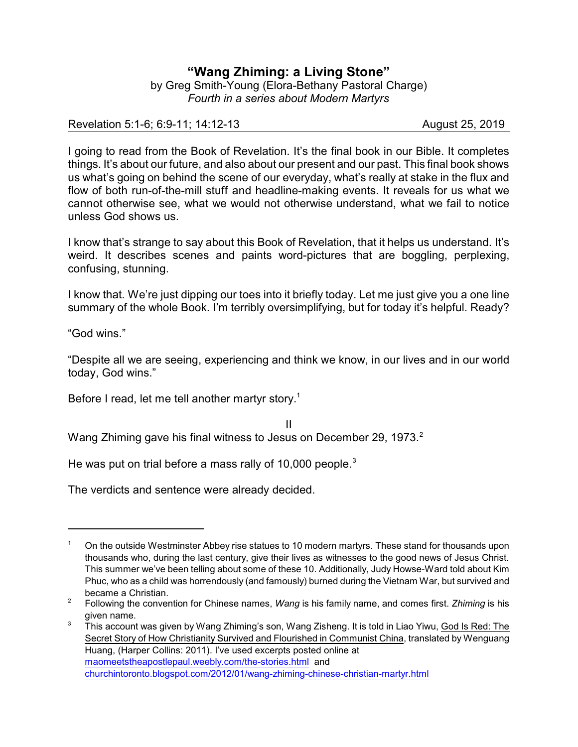## **"Wang Zhiming: a Living Stone"** by Greg Smith-Young (Elora-Bethany Pastoral Charge) *Fourth in a series about Modern Martyrs*

## Revelation 5:1-6; 6:9-11; 14:12-13 August 25, 2019

I going to read from the Book of Revelation. It's the final book in our Bible. It completes things. It's about our future, and also about our present and our past. This final book shows us what's going on behind the scene of our everyday, what's really at stake in the flux and flow of both run-of-the-mill stuff and headline-making events. It reveals for us what we cannot otherwise see, what we would not otherwise understand, what we fail to notice unless God shows us.

I know that's strange to say about this Book of Revelation, that it helps us understand. It's weird. It describes scenes and paints word-pictures that are boggling, perplexing, confusing, stunning.

I know that. We're just dipping our toes into it briefly today. Let me just give you a one line summary of the whole Book. I'm terribly oversimplifying, but for today it's helpful. Ready?

"God wins."

"Despite all we are seeing, experiencing and think we know, in our lives and in our world today, God wins."

Before I read, let me tell another martyr story.<sup>1</sup>

II Wang Zhiming gave his final witness to Jesus on December 29, 1973.<sup>2</sup>

He was put on trial before a mass rally of 10,000 people.<sup>3</sup>

The verdicts and sentence were already decided.

<sup>1</sup> On the outside Westminster Abbey rise statues to 10 modern martyrs. These stand for thousands upon thousands who, during the last century, give their lives as witnesses to the good news of Jesus Christ. This summer we've been telling about some of these 10. Additionally, Judy Howse-Ward told about Kim Phuc, who as a child was horrendously (and famously) burned during the Vietnam War, but survived and became a Christian.

<sup>2</sup> Following the convention for Chinese names, *Wang* is his family name, and comes first. *Zhiming* is his given name.

 $3$  This account was given by Wang Zhiming's son, Wang Zisheng. It is told in Liao Yiwu, God Is Red: The Secret Story of How Christianity Survived and Flourished in Communist China, translated by Wenguang Huang, (Harper Collins: 2011). I've used excerpts posted online at [maomeetstheapostlepaul.weebly.com/the-stories.html](http://maomeetstheapostlepaul.weebly.com/the-stories.html]) and [churchintoronto.blogspot.com/2012/01/wang-zhiming-chinese-christian-martyr.html](http://	churchintoronto.blogspot.com/2012/01/wang-zhiming-chinese-christian-martyr.html)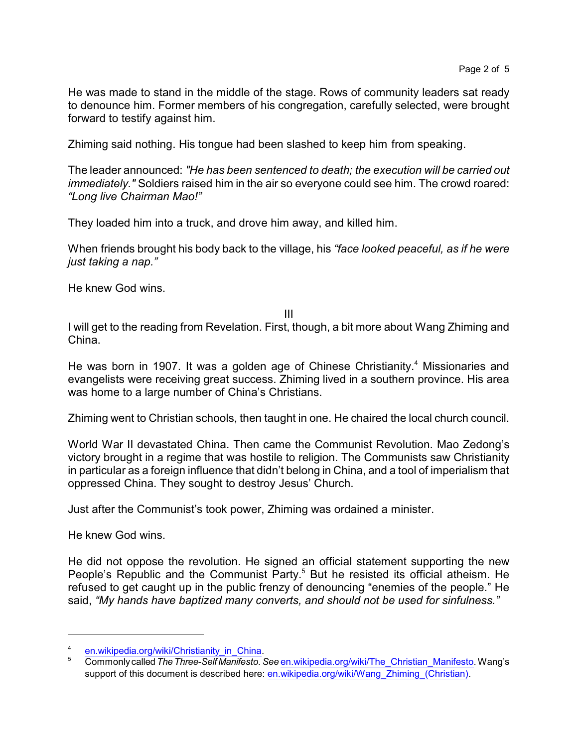He was made to stand in the middle of the stage. Rows of community leaders sat ready to denounce him. Former members of his congregation, carefully selected, were brought forward to testify against him.

Zhiming said nothing. His tongue had been slashed to keep him from speaking.

The leader announced: *"He has been sentenced to death; the execution will be carried out immediately."* Soldiers raised him in the air so everyone could see him. The crowd roared: *"Long live Chairman Mao!"*

They loaded him into a truck, and drove him away, and killed him.

When friends brought his body back to the village, his *"face looked peaceful, as if he were just taking a nap."*

He knew God wins.

III

I will get to the reading from Revelation. First, though, a bit more about Wang Zhiming and China.

He was born in 1907. It was a golden age of Chinese Christianity.<sup>4</sup> Missionaries and evangelists were receiving great success. Zhiming lived in a southern province. His area was home to a large number of China's Christians.

Zhiming went to Christian schools, then taught in one. He chaired the local church council.

World War II devastated China. Then came the Communist Revolution. Mao Zedong's victory brought in a regime that was hostile to religion. The Communists saw Christianity in particular as a foreign influence that didn't belong in China, and a tool of imperialism that oppressed China. They sought to destroy Jesus' Church.

Just after the Communist's took power, Zhiming was ordained a minister.

He knew God wins.

He did not oppose the revolution. He signed an official statement supporting the new People's Republic and the Communist Party.<sup>5</sup> But he resisted its official atheism. He refused to get caught up in the public frenzy of denouncing "enemies of the people." He said, *"My hands have baptized many converts, and should not be used for sinfulness."*

<sup>4</sup> [en.wikipedia.org/wiki/Christianity\\_in\\_China](https://en.wikipedia.org/wiki/Christianity_in_China).

<sup>5</sup> Commonly called*TheThree-Self Manifesto. See* [en.wikipedia.org/wiki/The\\_Christian\\_Manifesto]((https://en.wikipedia.org/wiki/The_Christian_Manifesto)). Wang's support of this document is described here: [en.wikipedia.org/wiki/Wang\\_Zhiming\\_\(Christian\)](https://en.wikipedia.org/wiki/Wang_Zhiming_(Christian)).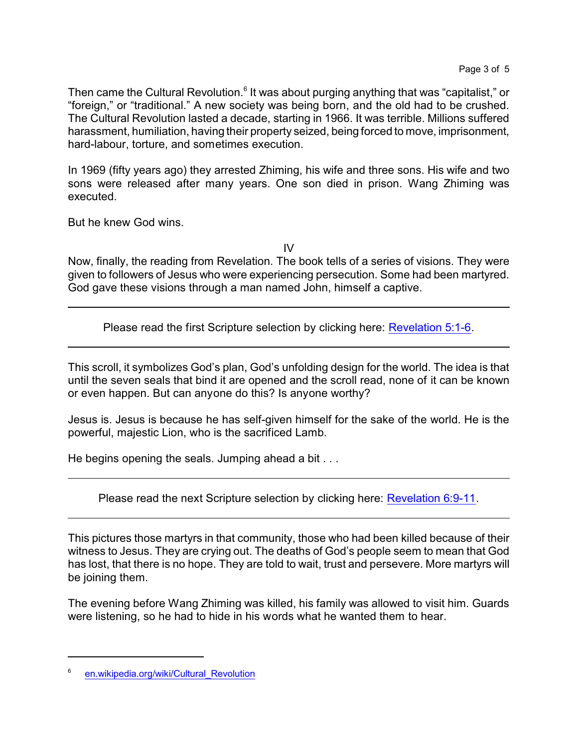Then came the Cultural Revolution.<sup>6</sup> It was about purging anything that was "capitalist," or "foreign," or "traditional." A new society was being born, and the old had to be crushed. The Cultural Revolution lasted a decade, starting in 1966. It was terrible. Millions suffered harassment, humiliation, having their property seized, being forced to move, imprisonment, hard-labour, torture, and sometimes execution.

In 1969 (fifty years ago) they arrested Zhiming, his wife and three sons. His wife and two sons were released after many years. One son died in prison. Wang Zhiming was executed.

But he knew God wins.

IV

Now, finally, the reading from Revelation. The book tells of a series of visions. They were given to followers of Jesus who were experiencing persecution. Some had been martyred. God gave these visions through a man named John, himself a captive.

Please read the first Scripture selection by clicking here: [Revelation 5:1-6](https://www.biblegateway.com/passage/?search=Revelation+5%3A1-6&version=CEB).

This scroll, it symbolizes God's plan, God's unfolding design for the world. The idea is that until the seven seals that bind it are opened and the scroll read, none of it can be known or even happen. But can anyone do this? Is anyone worthy?

Jesus is. Jesus is because he has self-given himself for the sake of the world. He is the powerful, majestic Lion, who is the sacrificed Lamb.

He begins opening the seals. Jumping ahead a bit . . .

Please read the next Scripture selection by clicking here: [Revelation 6:9-11](https://www.biblegateway.com/passage/?search=Revelation+6%3A9-11&version=CEB).

This pictures those martyrs in that community, those who had been killed because of their witness to Jesus. They are crying out. The deaths of God's people seem to mean that God has lost, that there is no hope. They are told to wait, trust and persevere. More martyrs will be joining them.

The evening before Wang Zhiming was killed, his family was allowed to visit him. Guards were listening, so he had to hide in his words what he wanted them to hear.

<sup>6</sup> [en.wikipedia.org/wiki/Cultural\\_Revolution](https://en.wikipedia.org/wiki/Cultural_Revolution)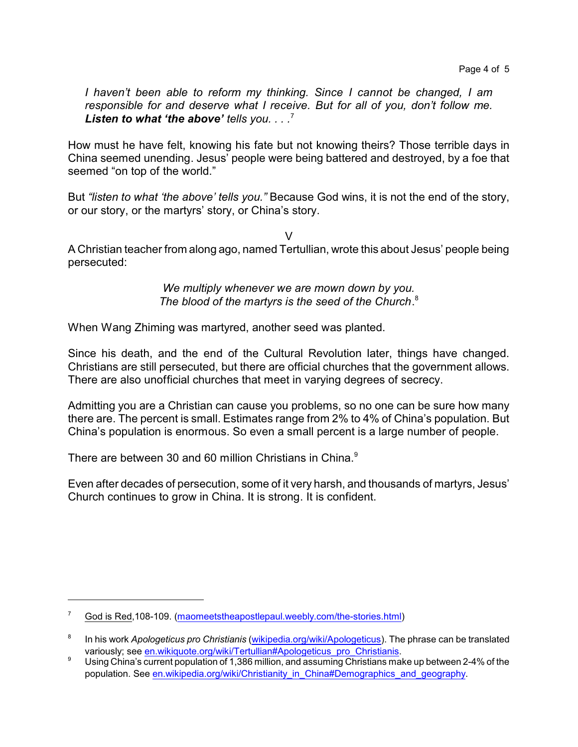*I haven't been able to reform my thinking. Since I cannot be changed, I am responsible for and deserve what I receive. But for all of you, don't follow me. Listen to what 'the above' tells you. . . .*<sup>7</sup>

How must he have felt, knowing his fate but not knowing theirs? Those terrible days in China seemed unending. Jesus' people were being battered and destroyed, by a foe that seemed "on top of the world."

But *"listen to what 'the above' tells you."* Because God wins, it is not the end of the story, or our story, or the martyrs' story, or China's story.

V A Christian teacher from along ago, named Tertullian, wrote this about Jesus' people being persecuted:

> *We multiply whenever we are mown down by you. The blood of the martyrs is the seed of the Church*. 8

When Wang Zhiming was martyred, another seed was planted.

Since his death, and the end of the Cultural Revolution later, things have changed. Christians are still persecuted, but there are official churches that the government allows. There are also unofficial churches that meet in varying degrees of secrecy.

Admitting you are a Christian can cause you problems, so no one can be sure how many there are. The percent is small. Estimates range from 2% to 4% of China's population. But China's population is enormous. So even a small percent is a large number of people.

There are between 30 and 60 million Christians in China.<sup>9</sup>

Even after decades of persecution, some of it very harsh, and thousands of martyrs, Jesus' Church continues to grow in China. It is strong. It is confident.

<sup>&</sup>lt;sup>7</sup> God is Red, 108-109. [\(maomeetstheapostlepaul.weebly.com/the-stories.html](http://maomeetstheapostlepaul.weebly.com/the-stories.html))

<sup>8</sup> In his work *Apologeticus pro Christianis* [\(wikipedia.org/wiki/Apologeticus](https://en.wikipedia.org/wiki/Apologeticus)). The phrase can be translated variously; see [en.wikiquote.org/wiki/Tertullian#Apologeticus\\_pro\\_Christianis](https://en.wikiquote.org/wiki/Tertullian#Apologeticus_pro_Christianis).

<sup>&</sup>lt;sup>9</sup> Using China's current population of 1,386 million, and assuming Christians make up between 2-4% of the population. See [en.wikipedia.org/wiki/Christianity\\_in\\_China#Demographics\\_and\\_geography](https://en.wikipedia.org/wiki/Christianity_in_China#Demographics_and_geography).